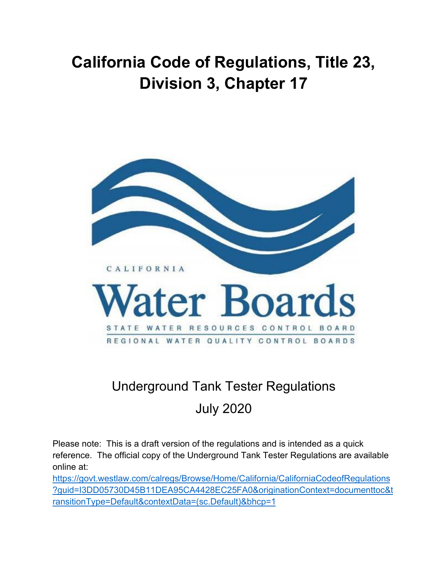# **California Code of Regulations, Title 23, Division 3, Chapter 17**



## Underground Tank Tester Regulations July 2020

Please note: This is a draft version of the regulations and is intended as a quick reference. The official copy of the Underground Tank Tester Regulations are available online at:

[https://govt.westlaw.com/calregs/Browse/Home/California/CaliforniaCodeofRegulations](https://govt.westlaw.com/calregs/Browse/Home/California/CaliforniaCodeofRegulations?guid=I3DD05730D45B11DEA95CA4428EC25FA0&originationContext=documenttoc&transitionType=Default&contextData=(sc.Default)&bhcp=1) [?guid=I3DD05730D45B11DEA95CA4428EC25FA0&originationContext=documenttoc&t](https://govt.westlaw.com/calregs/Browse/Home/California/CaliforniaCodeofRegulations?guid=I3DD05730D45B11DEA95CA4428EC25FA0&originationContext=documenttoc&transitionType=Default&contextData=(sc.Default)&bhcp=1) [ransitionType=Default&contextData=\(sc.Default\)&bhcp=1](https://govt.westlaw.com/calregs/Browse/Home/California/CaliforniaCodeofRegulations?guid=I3DD05730D45B11DEA95CA4428EC25FA0&originationContext=documenttoc&transitionType=Default&contextData=(sc.Default)&bhcp=1)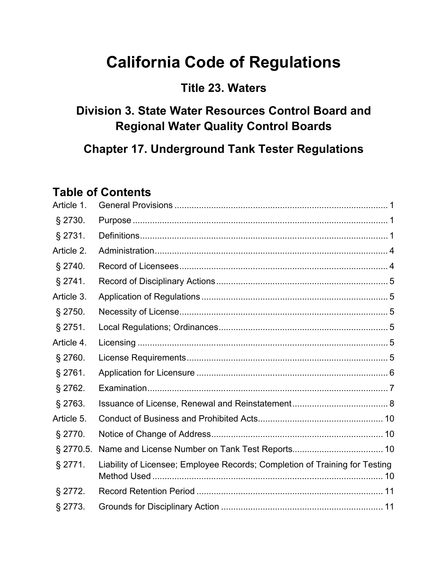# **California Code of Regulations**

## **Title 23. Waters**

## **Division 3. State Water Resources Control Board and Regional Water Quality Control Boards**

**Chapter 17. Underground Tank Tester Regulations**

## **Table of Contents**

| Article 1. |                                                                             |  |
|------------|-----------------------------------------------------------------------------|--|
| $§$ 2730.  |                                                                             |  |
| § 2731.    |                                                                             |  |
| Article 2. |                                                                             |  |
| \$2740.    |                                                                             |  |
| $§$ 2741.  |                                                                             |  |
| Article 3. |                                                                             |  |
| $§$ 2750.  |                                                                             |  |
| $§$ 2751.  |                                                                             |  |
| Article 4. |                                                                             |  |
| § 2760.    |                                                                             |  |
| $§$ 2761.  |                                                                             |  |
| $§$ 2762.  |                                                                             |  |
| $§$ 2763.  |                                                                             |  |
| Article 5. |                                                                             |  |
| $§$ 2770.  |                                                                             |  |
| § 2770.5.  |                                                                             |  |
| $§$ 2771.  | Liability of Licensee; Employee Records; Completion of Training for Testing |  |
| $§$ 2772.  |                                                                             |  |
| § 2773.    |                                                                             |  |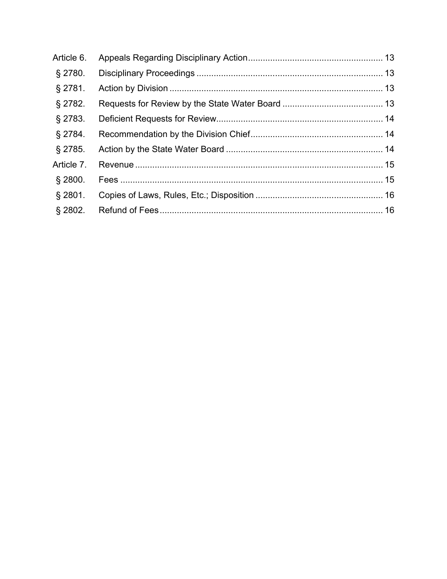| Article 6. |  |
|------------|--|
| $\S$ 2780. |  |
| $§$ 2781.  |  |
| $§$ 2782.  |  |
| $§$ 2783.  |  |
| $§$ 2784.  |  |
| $§$ 2785.  |  |
| Article 7. |  |
| $\S$ 2800. |  |
| $\S$ 2801. |  |
| \$2802.    |  |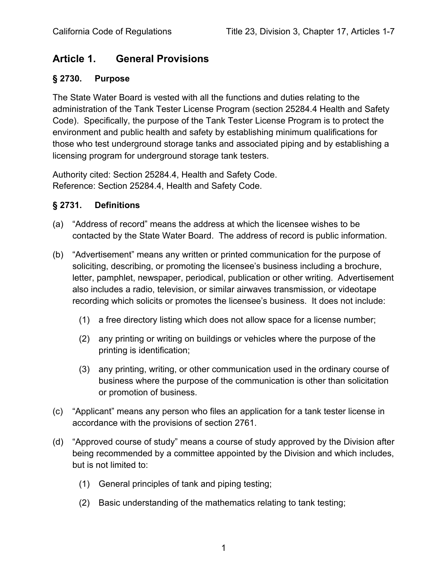## <span id="page-3-0"></span>**Article 1. General Provisions**

## <span id="page-3-1"></span>**§ 2730. Purpose**

The State Water Board is vested with all the functions and duties relating to the administration of the Tank Tester License Program (section 25284.4 Health and Safety Code). Specifically, the purpose of the Tank Tester License Program is to protect the environment and public health and safety by establishing minimum qualifications for those who test underground storage tanks and associated piping and by establishing a licensing program for underground storage tank testers.

Authority cited: Section 25284.4, Health and Safety Code. Reference: Section 25284.4, Health and Safety Code.

## <span id="page-3-2"></span>**§ 2731. Definitions**

- (a) "Address of record" means the address at which the licensee wishes to be contacted by the State Water Board. The address of record is public information.
- (b) "Advertisement" means any written or printed communication for the purpose of soliciting, describing, or promoting the licensee's business including a brochure, letter, pamphlet, newspaper, periodical, publication or other writing. Advertisement also includes a radio, television, or similar airwaves transmission, or videotape recording which solicits or promotes the licensee's business. It does not include:
	- (1) a free directory listing which does not allow space for a license number;
	- (2) any printing or writing on buildings or vehicles where the purpose of the printing is identification;
	- (3) any printing, writing, or other communication used in the ordinary course of business where the purpose of the communication is other than solicitation or promotion of business.
- (c) "Applicant" means any person who files an application for a tank tester license in accordance with the provisions of section 2761.
- (d) "Approved course of study" means a course of study approved by the Division after being recommended by a committee appointed by the Division and which includes, but is not limited to:
	- (1) General principles of tank and piping testing;
	- (2) Basic understanding of the mathematics relating to tank testing;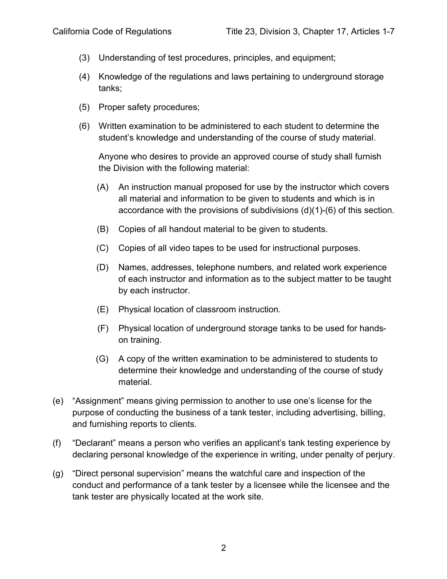- (3) Understanding of test procedures, principles, and equipment;
- (4) Knowledge of the regulations and laws pertaining to underground storage tanks;
- (5) Proper safety procedures;
- (6) Written examination to be administered to each student to determine the student's knowledge and understanding of the course of study material.

Anyone who desires to provide an approved course of study shall furnish the Division with the following material:

- (A) An instruction manual proposed for use by the instructor which covers all material and information to be given to students and which is in accordance with the provisions of subdivisions (d)(1)-(6) of this section.
- (B) Copies of all handout material to be given to students.
- (C) Copies of all video tapes to be used for instructional purposes.
- (D) Names, addresses, telephone numbers, and related work experience of each instructor and information as to the subject matter to be taught by each instructor.
- (E) Physical location of classroom instruction.
- (F) Physical location of underground storage tanks to be used for handson training.
- (G) A copy of the written examination to be administered to students to determine their knowledge and understanding of the course of study material.
- (e) "Assignment" means giving permission to another to use one's license for the purpose of conducting the business of a tank tester, including advertising, billing, and furnishing reports to clients.
- (f) "Declarant" means a person who verifies an applicant's tank testing experience by declaring personal knowledge of the experience in writing, under penalty of perjury.
- (g) "Direct personal supervision" means the watchful care and inspection of the conduct and performance of a tank tester by a licensee while the licensee and the tank tester are physically located at the work site.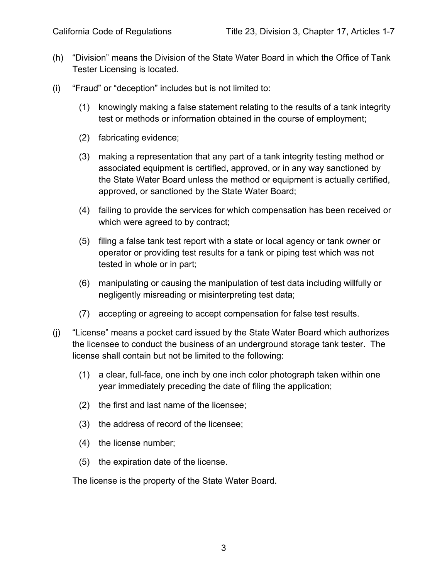- (h) "Division" means the Division of the State Water Board in which the Office of Tank Tester Licensing is located.
- (i) "Fraud" or "deception" includes but is not limited to:
	- (1) knowingly making a false statement relating to the results of a tank integrity test or methods or information obtained in the course of employment;
	- (2) fabricating evidence;
	- (3) making a representation that any part of a tank integrity testing method or associated equipment is certified, approved, or in any way sanctioned by the State Water Board unless the method or equipment is actually certified, approved, or sanctioned by the State Water Board;
	- (4) failing to provide the services for which compensation has been received or which were agreed to by contract;
	- (5) filing a false tank test report with a state or local agency or tank owner or operator or providing test results for a tank or piping test which was not tested in whole or in part;
	- (6) manipulating or causing the manipulation of test data including willfully or negligently misreading or misinterpreting test data;
	- (7) accepting or agreeing to accept compensation for false test results.
- (j) "License" means a pocket card issued by the State Water Board which authorizes the licensee to conduct the business of an underground storage tank tester. The license shall contain but not be limited to the following:
	- (1) a clear, full-face, one inch by one inch color photograph taken within one year immediately preceding the date of filing the application;
	- (2) the first and last name of the licensee;
	- (3) the address of record of the licensee;
	- (4) the license number;
	- (5) the expiration date of the license.

The license is the property of the State Water Board.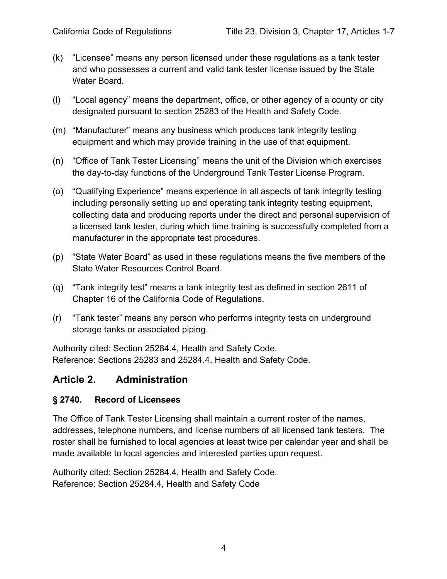- (k) "Licensee" means any person licensed under these regulations as a tank tester and who possesses a current and valid tank tester license issued by the State Water Board.
- (l) "Local agency" means the department, office, or other agency of a county or city designated pursuant to section 25283 of the Health and Safety Code.
- (m) "Manufacturer" means any business which produces tank integrity testing equipment and which may provide training in the use of that equipment.
- (n) "Office of Tank Tester Licensing" means the unit of the Division which exercises the day-to-day functions of the Underground Tank Tester License Program.
- (o) "Qualifying Experience" means experience in all aspects of tank integrity testing including personally setting up and operating tank integrity testing equipment, collecting data and producing reports under the direct and personal supervision of a licensed tank tester, during which time training is successfully completed from a manufacturer in the appropriate test procedures.
- (p) "State Water Board" as used in these regulations means the five members of the State Water Resources Control Board.
- (q) "Tank integrity test" means a tank integrity test as defined in section 2611 of Chapter 16 of the California Code of Regulations.
- (r) "Tank tester" means any person who performs integrity tests on underground storage tanks or associated piping.

Authority cited: Section 25284.4, Health and Safety Code. Reference: Sections 25283 and 25284.4, Health and Safety Code.

## <span id="page-6-0"></span>**Article 2. Administration**

## <span id="page-6-1"></span>**§ 2740. Record of Licensees**

The Office of Tank Tester Licensing shall maintain a current roster of the names, addresses, telephone numbers, and license numbers of all licensed tank testers. The roster shall be furnished to local agencies at least twice per calendar year and shall be made available to local agencies and interested parties upon request.

Authority cited: Section 25284.4, Health and Safety Code. Reference: Section 25284.4, Health and Safety Code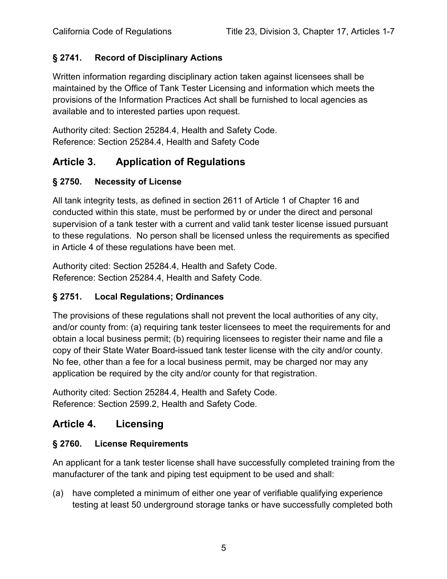## <span id="page-7-0"></span>**§ 2741. Record of Disciplinary Actions**

Written information regarding disciplinary action taken against licensees shall be maintained by the Office of Tank Tester Licensing and information which meets the provisions of the Information Practices Act shall be furnished to local agencies as available and to interested parties upon request.

Authority cited: Section 25284.4, Health and Safety Code. Reference: Section 25284.4, Health and Safety Code

## <span id="page-7-1"></span>**Article 3. Application of Regulations**

## <span id="page-7-2"></span>**§ 2750. Necessity of License**

All tank integrity tests, as defined in section 2611 of Article 1 of Chapter 16 and conducted within this state, must be performed by or under the direct and personal supervision of a tank tester with a current and valid tank tester license issued pursuant to these regulations. No person shall be licensed unless the requirements as specified in Article 4 of these regulations have been met.

Authority cited: Section 25284.4, Health and Safety Code. Reference: Section 25284.4, Health and Safety Code.

## <span id="page-7-3"></span>**§ 2751. Local Regulations; Ordinances**

The provisions of these regulations shall not prevent the local authorities of any city, and/or county from: (a) requiring tank tester licensees to meet the requirements for and obtain a local business permit; (b) requiring licensees to register their name and file a copy of their State Water Board-issued tank tester license with the city and/or county. No fee, other than a fee for a local business permit, may be charged nor may any application be required by the city and/or county for that registration.

Authority cited: Section 25284.4, Health and Safety Code. Reference: Section 2599.2, Health and Safety Code.

## <span id="page-7-4"></span>**Article 4. Licensing**

## <span id="page-7-5"></span>**§ 2760. License Requirements**

An applicant for a tank tester license shall have successfully completed training from the manufacturer of the tank and piping test equipment to be used and shall:

(a) have completed a minimum of either one year of verifiable qualifying experience testing at least 50 underground storage tanks or have successfully completed both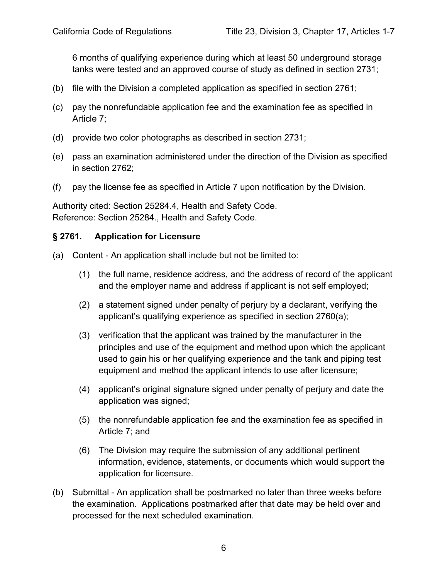6 months of qualifying experience during which at least 50 underground storage tanks were tested and an approved course of study as defined in section 2731;

- (b) file with the Division a completed application as specified in section 2761;
- (c) pay the nonrefundable application fee and the examination fee as specified in Article 7;
- (d) provide two color photographs as described in section 2731;
- (e) pass an examination administered under the direction of the Division as specified in section 2762;
- (f) pay the license fee as specified in Article 7 upon notification by the Division.

Authority cited: Section 25284.4, Health and Safety Code. Reference: Section 25284., Health and Safety Code.

#### <span id="page-8-0"></span>**§ 2761. Application for Licensure**

- (a) Content An application shall include but not be limited to:
	- (1) the full name, residence address, and the address of record of the applicant and the employer name and address if applicant is not self employed;
	- (2) a statement signed under penalty of perjury by a declarant, verifying the applicant's qualifying experience as specified in section 2760(a);
	- (3) verification that the applicant was trained by the manufacturer in the principles and use of the equipment and method upon which the applicant used to gain his or her qualifying experience and the tank and piping test equipment and method the applicant intends to use after licensure;
	- (4) applicant's original signature signed under penalty of perjury and date the application was signed;
	- (5) the nonrefundable application fee and the examination fee as specified in Article 7; and
	- (6) The Division may require the submission of any additional pertinent information, evidence, statements, or documents which would support the application for licensure.
- (b) Submittal An application shall be postmarked no later than three weeks before the examination. Applications postmarked after that date may be held over and processed for the next scheduled examination.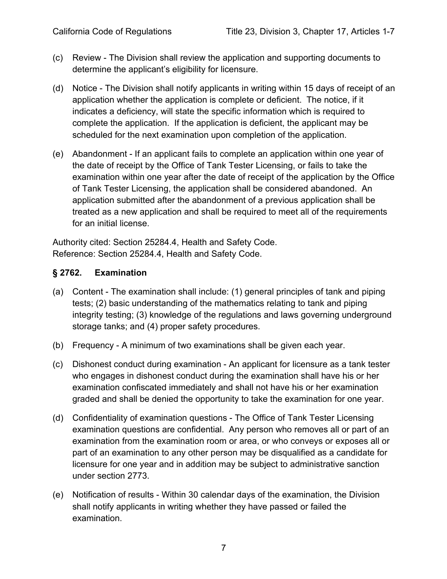- (c) Review The Division shall review the application and supporting documents to determine the applicant's eligibility for licensure.
- (d) Notice The Division shall notify applicants in writing within 15 days of receipt of an application whether the application is complete or deficient. The notice, if it indicates a deficiency, will state the specific information which is required to complete the application. If the application is deficient, the applicant may be scheduled for the next examination upon completion of the application.
- (e) Abandonment If an applicant fails to complete an application within one year of the date of receipt by the Office of Tank Tester Licensing, or fails to take the examination within one year after the date of receipt of the application by the Office of Tank Tester Licensing, the application shall be considered abandoned. An application submitted after the abandonment of a previous application shall be treated as a new application and shall be required to meet all of the requirements for an initial license.

Authority cited: Section 25284.4, Health and Safety Code. Reference: Section 25284.4, Health and Safety Code.

## <span id="page-9-0"></span>**§ 2762. Examination**

- (a) Content The examination shall include: (1) general principles of tank and piping tests; (2) basic understanding of the mathematics relating to tank and piping integrity testing; (3) knowledge of the regulations and laws governing underground storage tanks; and (4) proper safety procedures.
- (b) Frequency A minimum of two examinations shall be given each year.
- (c) Dishonest conduct during examination An applicant for licensure as a tank tester who engages in dishonest conduct during the examination shall have his or her examination confiscated immediately and shall not have his or her examination graded and shall be denied the opportunity to take the examination for one year.
- (d) Confidentiality of examination questions The Office of Tank Tester Licensing examination questions are confidential. Any person who removes all or part of an examination from the examination room or area, or who conveys or exposes all or part of an examination to any other person may be disqualified as a candidate for licensure for one year and in addition may be subject to administrative sanction under section 2773.
- (e) Notification of results Within 30 calendar days of the examination, the Division shall notify applicants in writing whether they have passed or failed the examination.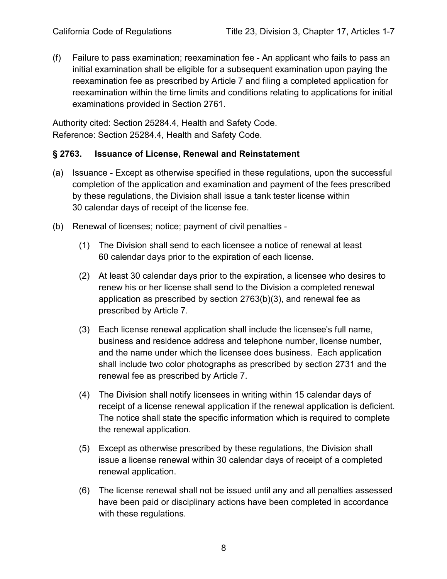(f) Failure to pass examination; reexamination fee - An applicant who fails to pass an initial examination shall be eligible for a subsequent examination upon paying the reexamination fee as prescribed by Article 7 and filing a completed application for reexamination within the time limits and conditions relating to applications for initial examinations provided in Section 2761.

Authority cited: Section 25284.4, Health and Safety Code. Reference: Section 25284.4, Health and Safety Code.

## <span id="page-10-0"></span>**§ 2763. Issuance of License, Renewal and Reinstatement**

- (a) Issuance Except as otherwise specified in these regulations, upon the successful completion of the application and examination and payment of the fees prescribed by these regulations, the Division shall issue a tank tester license within 30 calendar days of receipt of the license fee.
- (b) Renewal of licenses; notice; payment of civil penalties
	- (1) The Division shall send to each licensee a notice of renewal at least 60 calendar days prior to the expiration of each license.
	- (2) At least 30 calendar days prior to the expiration, a licensee who desires to renew his or her license shall send to the Division a completed renewal application as prescribed by section 2763(b)(3), and renewal fee as prescribed by Article 7.
	- (3) Each license renewal application shall include the licensee's full name, business and residence address and telephone number, license number, and the name under which the licensee does business. Each application shall include two color photographs as prescribed by section 2731 and the renewal fee as prescribed by Article 7.
	- (4) The Division shall notify licensees in writing within 15 calendar days of receipt of a license renewal application if the renewal application is deficient. The notice shall state the specific information which is required to complete the renewal application.
	- (5) Except as otherwise prescribed by these regulations, the Division shall issue a license renewal within 30 calendar days of receipt of a completed renewal application.
	- (6) The license renewal shall not be issued until any and all penalties assessed have been paid or disciplinary actions have been completed in accordance with these regulations.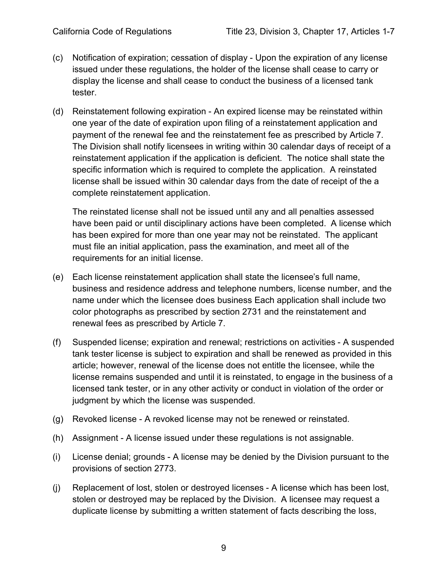- (c) Notification of expiration; cessation of display Upon the expiration of any license issued under these regulations, the holder of the license shall cease to carry or display the license and shall cease to conduct the business of a licensed tank tester.
- (d) Reinstatement following expiration An expired license may be reinstated within one year of the date of expiration upon filing of a reinstatement application and payment of the renewal fee and the reinstatement fee as prescribed by Article 7. The Division shall notify licensees in writing within 30 calendar days of receipt of a reinstatement application if the application is deficient. The notice shall state the specific information which is required to complete the application. A reinstated license shall be issued within 30 calendar days from the date of receipt of the a complete reinstatement application.

The reinstated license shall not be issued until any and all penalties assessed have been paid or until disciplinary actions have been completed. A license which has been expired for more than one year may not be reinstated. The applicant must file an initial application, pass the examination, and meet all of the requirements for an initial license.

- (e) Each license reinstatement application shall state the licensee's full name, business and residence address and telephone numbers, license number, and the name under which the licensee does business Each application shall include two color photographs as prescribed by section 2731 and the reinstatement and renewal fees as prescribed by Article 7.
- (f) Suspended license; expiration and renewal; restrictions on activities A suspended tank tester license is subject to expiration and shall be renewed as provided in this article; however, renewal of the license does not entitle the licensee, while the license remains suspended and until it is reinstated, to engage in the business of a licensed tank tester, or in any other activity or conduct in violation of the order or judgment by which the license was suspended.
- (g) Revoked license A revoked license may not be renewed or reinstated.
- (h) Assignment A license issued under these regulations is not assignable.
- (i) License denial; grounds A license may be denied by the Division pursuant to the provisions of section 2773.
- (j) Replacement of lost, stolen or destroyed licenses A license which has been lost, stolen or destroyed may be replaced by the Division. A licensee may request a duplicate license by submitting a written statement of facts describing the loss,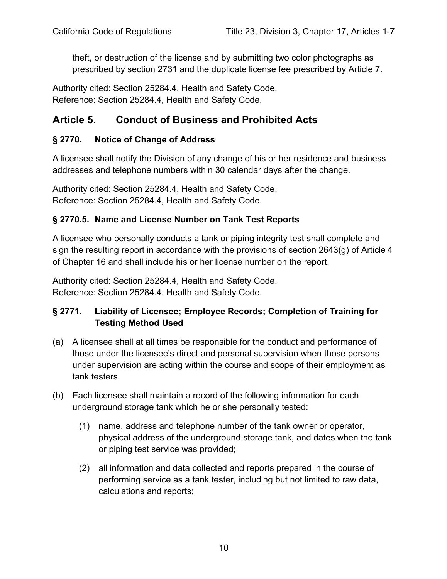theft, or destruction of the license and by submitting two color photographs as prescribed by section 2731 and the duplicate license fee prescribed by Article 7.

Authority cited: Section 25284.4, Health and Safety Code. Reference: Section 25284.4, Health and Safety Code.

## <span id="page-12-0"></span>**Article 5. Conduct of Business and Prohibited Acts**

## <span id="page-12-1"></span>**§ 2770. Notice of Change of Address**

A licensee shall notify the Division of any change of his or her residence and business addresses and telephone numbers within 30 calendar days after the change.

Authority cited: Section 25284.4, Health and Safety Code. Reference: Section 25284.4, Health and Safety Code.

## <span id="page-12-2"></span>**§ 2770.5. Name and License Number on Tank Test Reports**

A licensee who personally conducts a tank or piping integrity test shall complete and sign the resulting report in accordance with the provisions of section 2643(g) of Article 4 of Chapter 16 and shall include his or her license number on the report.

Authority cited: Section 25284.4, Health and Safety Code. Reference: Section 25284.4, Health and Safety Code.

## <span id="page-12-3"></span>**§ 2771. Liability of Licensee; Employee Records; Completion of Training for Testing Method Used**

- (a) A licensee shall at all times be responsible for the conduct and performance of those under the licensee's direct and personal supervision when those persons under supervision are acting within the course and scope of their employment as tank testers.
- (b) Each licensee shall maintain a record of the following information for each underground storage tank which he or she personally tested:
	- (1) name, address and telephone number of the tank owner or operator, physical address of the underground storage tank, and dates when the tank or piping test service was provided;
	- (2) all information and data collected and reports prepared in the course of performing service as a tank tester, including but not limited to raw data, calculations and reports;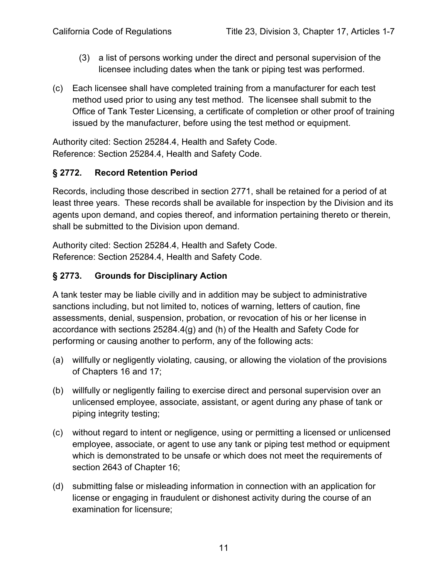- (3) a list of persons working under the direct and personal supervision of the licensee including dates when the tank or piping test was performed.
- (c) Each licensee shall have completed training from a manufacturer for each test method used prior to using any test method. The licensee shall submit to the Office of Tank Tester Licensing, a certificate of completion or other proof of training issued by the manufacturer, before using the test method or equipment.

Authority cited: Section 25284.4, Health and Safety Code. Reference: Section 25284.4, Health and Safety Code.

## <span id="page-13-0"></span>**§ 2772. Record Retention Period**

Records, including those described in section 2771, shall be retained for a period of at least three years. These records shall be available for inspection by the Division and its agents upon demand, and copies thereof, and information pertaining thereto or therein, shall be submitted to the Division upon demand.

Authority cited: Section 25284.4, Health and Safety Code. Reference: Section 25284.4, Health and Safety Code.

## <span id="page-13-1"></span>**§ 2773. Grounds for Disciplinary Action**

A tank tester may be liable civilly and in addition may be subject to administrative sanctions including, but not limited to, notices of warning, letters of caution, fine assessments, denial, suspension, probation, or revocation of his or her license in accordance with sections 25284.4(g) and (h) of the Health and Safety Code for performing or causing another to perform, any of the following acts:

- (a) willfully or negligently violating, causing, or allowing the violation of the provisions of Chapters 16 and 17;
- (b) willfully or negligently failing to exercise direct and personal supervision over an unlicensed employee, associate, assistant, or agent during any phase of tank or piping integrity testing;
- (c) without regard to intent or negligence, using or permitting a licensed or unlicensed employee, associate, or agent to use any tank or piping test method or equipment which is demonstrated to be unsafe or which does not meet the requirements of section 2643 of Chapter 16;
- (d) submitting false or misleading information in connection with an application for license or engaging in fraudulent or dishonest activity during the course of an examination for licensure;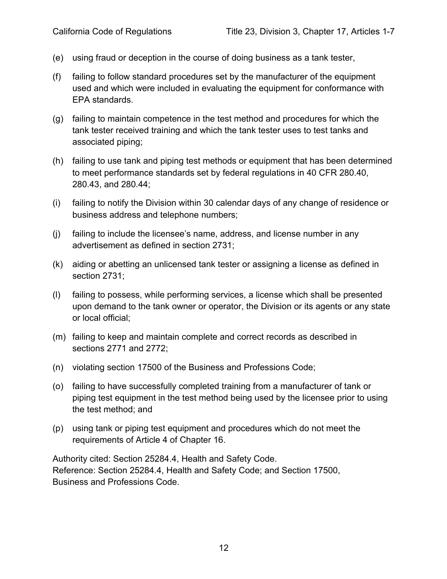- (e) using fraud or deception in the course of doing business as a tank tester,
- (f) failing to follow standard procedures set by the manufacturer of the equipment used and which were included in evaluating the equipment for conformance with EPA standards.
- (g) failing to maintain competence in the test method and procedures for which the tank tester received training and which the tank tester uses to test tanks and associated piping;
- (h) failing to use tank and piping test methods or equipment that has been determined to meet performance standards set by federal regulations in 40 CFR 280.40, 280.43, and 280.44;
- (i) failing to notify the Division within 30 calendar days of any change of residence or business address and telephone numbers;
- (j) failing to include the licensee's name, address, and license number in any advertisement as defined in section 2731;
- (k) aiding or abetting an unlicensed tank tester or assigning a license as defined in section 2731;
- (l) failing to possess, while performing services, a license which shall be presented upon demand to the tank owner or operator, the Division or its agents or any state or local official;
- (m) failing to keep and maintain complete and correct records as described in sections 2771 and 2772;
- (n) violating section 17500 of the Business and Professions Code;
- (o) failing to have successfully completed training from a manufacturer of tank or piping test equipment in the test method being used by the licensee prior to using the test method; and
- (p) using tank or piping test equipment and procedures which do not meet the requirements of Article 4 of Chapter 16.

Authority cited: Section 25284.4, Health and Safety Code. Reference: Section 25284.4, Health and Safety Code; and Section 17500, Business and Professions Code.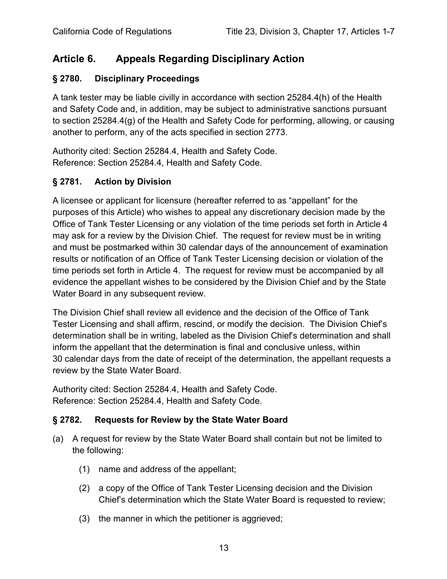## <span id="page-15-0"></span>**Article 6. Appeals Regarding Disciplinary Action**

## <span id="page-15-1"></span>**§ 2780. Disciplinary Proceedings**

A tank tester may be liable civilly in accordance with section 25284.4(h) of the Health and Safety Code and, in addition, may be subject to administrative sanctions pursuant to section 25284.4(g) of the Health and Safety Code for performing, allowing, or causing another to perform, any of the acts specified in section 2773.

Authority cited: Section 25284.4, Health and Safety Code. Reference: Section 25284.4, Health and Safety Code.

## <span id="page-15-2"></span>**§ 2781. Action by Division**

A licensee or applicant for licensure (hereafter referred to as "appellant" for the purposes of this Article) who wishes to appeal any discretionary decision made by the Office of Tank Tester Licensing or any violation of the time periods set forth in Article 4 may ask for a review by the Division Chief. The request for review must be in writing and must be postmarked within 30 calendar days of the announcement of examination results or notification of an Office of Tank Tester Licensing decision or violation of the time periods set forth in Article 4. The request for review must be accompanied by all evidence the appellant wishes to be considered by the Division Chief and by the State Water Board in any subsequent review.

The Division Chief shall review all evidence and the decision of the Office of Tank Tester Licensing and shall affirm, rescind, or modify the decision. The Division Chief's determination shall be in writing, labeled as the Division Chief's determination and shall inform the appellant that the determination is final and conclusive unless, within 30 calendar days from the date of receipt of the determination, the appellant requests a review by the State Water Board.

Authority cited: Section 25284.4, Health and Safety Code. Reference: Section 25284.4, Health and Safety Code.

## <span id="page-15-3"></span>**§ 2782. Requests for Review by the State Water Board**

- (a) A request for review by the State Water Board shall contain but not be limited to the following:
	- (1) name and address of the appellant;
	- (2) a copy of the Office of Tank Tester Licensing decision and the Division Chief's determination which the State Water Board is requested to review;
	- (3) the manner in which the petitioner is aggrieved;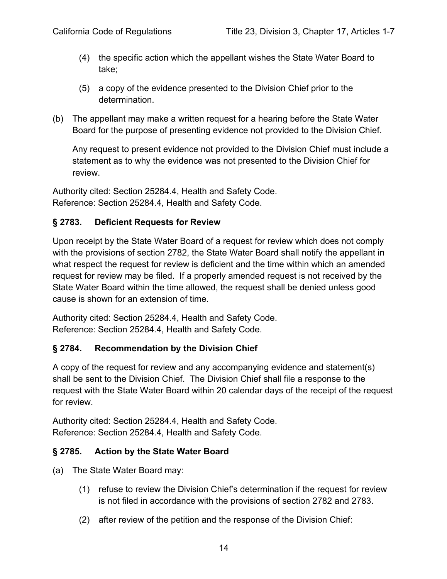- (4) the specific action which the appellant wishes the State Water Board to take;
- (5) a copy of the evidence presented to the Division Chief prior to the determination.
- (b) The appellant may make a written request for a hearing before the State Water Board for the purpose of presenting evidence not provided to the Division Chief.

Any request to present evidence not provided to the Division Chief must include a statement as to why the evidence was not presented to the Division Chief for review.

Authority cited: Section 25284.4, Health and Safety Code. Reference: Section 25284.4, Health and Safety Code.

## <span id="page-16-0"></span>**§ 2783. Deficient Requests for Review**

Upon receipt by the State Water Board of a request for review which does not comply with the provisions of section 2782, the State Water Board shall notify the appellant in what respect the request for review is deficient and the time within which an amended request for review may be filed. If a properly amended request is not received by the State Water Board within the time allowed, the request shall be denied unless good cause is shown for an extension of time.

Authority cited: Section 25284.4, Health and Safety Code. Reference: Section 25284.4, Health and Safety Code.

## <span id="page-16-1"></span>**§ 2784. Recommendation by the Division Chief**

A copy of the request for review and any accompanying evidence and statement(s) shall be sent to the Division Chief. The Division Chief shall file a response to the request with the State Water Board within 20 calendar days of the receipt of the request for review.

Authority cited: Section 25284.4, Health and Safety Code. Reference: Section 25284.4, Health and Safety Code.

## <span id="page-16-2"></span>**§ 2785. Action by the State Water Board**

- (a) The State Water Board may:
	- (1) refuse to review the Division Chief's determination if the request for review is not filed in accordance with the provisions of section 2782 and 2783.
	- (2) after review of the petition and the response of the Division Chief: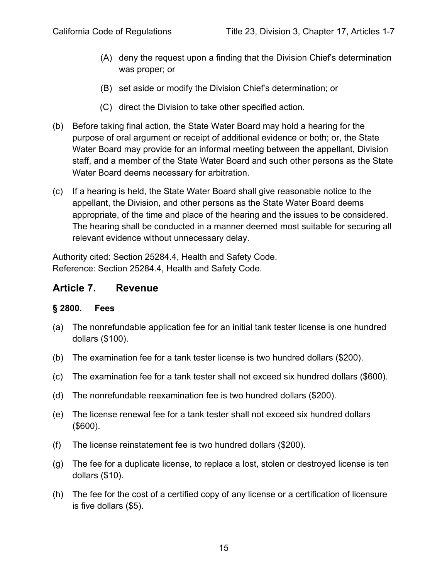- (A) deny the request upon a finding that the Division Chief's determination was proper; or
- (B) set aside or modify the Division Chief's determination; or
- (C) direct the Division to take other specified action.
- (b) Before taking final action, the State Water Board may hold a hearing for the purpose of oral argument or receipt of additional evidence or both; or, the State Water Board may provide for an informal meeting between the appellant, Division staff, and a member of the State Water Board and such other persons as the State Water Board deems necessary for arbitration.
- (c) If a hearing is held, the State Water Board shall give reasonable notice to the appellant, the Division, and other persons as the State Water Board deems appropriate, of the time and place of the hearing and the issues to be considered. The hearing shall be conducted in a manner deemed most suitable for securing all relevant evidence without unnecessary delay.

Authority cited: Section 25284.4, Health and Safety Code. Reference: Section 25284.4, Health and Safety Code.

## <span id="page-17-0"></span>**Article 7. Revenue**

## <span id="page-17-1"></span>**§ 2800. Fees**

- (a) The nonrefundable application fee for an initial tank tester license is one hundred dollars (\$100).
- (b) The examination fee for a tank tester license is two hundred dollars (\$200).
- (c) The examination fee for a tank tester shall not exceed six hundred dollars (\$600).
- (d) The nonrefundable reexamination fee is two hundred dollars (\$200).
- (e) The license renewal fee for a tank tester shall not exceed six hundred dollars (\$600).
- (f) The license reinstatement fee is two hundred dollars (\$200).
- (g) The fee for a duplicate license, to replace a lost, stolen or destroyed license is ten dollars (\$10).
- (h) The fee for the cost of a certified copy of any license or a certification of licensure is five dollars (\$5).